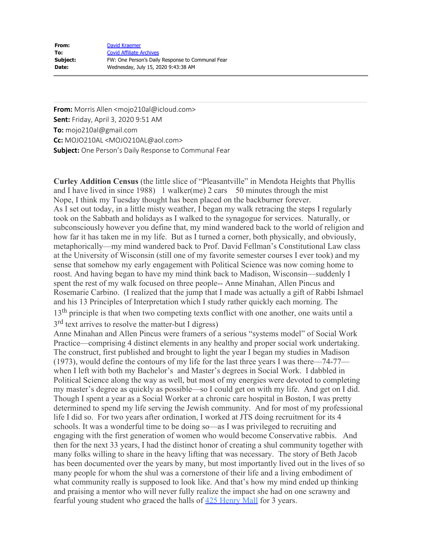| From:    | David Kraemer                                    |
|----------|--------------------------------------------------|
| To:      | <b>Covid Affiliate Archives</b>                  |
| Subject: | FW: One Person's Daily Response to Communal Fear |
| Date:    | Wednesday, July 15, 2020 9:43:38 AM              |

**From:** Morris Allen <mojo210al@icloud.com> **Sent:** Friday, April 3, 2020 9:51 AM **To:** mojo210al@gmail.com **Cc:** MOJO210AL <MOJO210AL@aol.com> **Subject:** One Person's Daily Response to Communal Fear

**Curley Addition Census** (the little slice of "Pleasantville" in Mendota Heights that Phyllis and I have lived in since 1988) 1 walker(me) 2 cars 50 minutes through the mist Nope, I think my Tuesday thought has been placed on the backburner forever. As I set out today, in a little misty weather, I began my walk retracing the steps I regularly took on the Sabbath and holidays as I walked to the synagogue for services. Naturally, or subconsciously however you define that, my mind wandered back to the world of religion and how far it has taken me in my life. But as I turned a corner, both physically, and obviously, metaphorically—my mind wandered back to Prof. David Fellman's Constitutional Law class at the University of Wisconsin (still one of my favorite semester courses I ever took) and my sense that somehow my early engagement with Political Science was now coming home to roost. And having began to have my mind think back to Madison, Wisconsin—suddenly I spent the rest of my walk focused on three people-- Anne Minahan, Allen Pincus and Rosemarie Carbino. (I realized that the jump that I made was actually a gift of Rabbi Ishmael and his 13 Principles of Interpretation which I study rather quickly each morning. The 13<sup>th</sup> principle is that when two competing texts conflict with one another, one waits until a 3<sup>rd</sup> text arrives to resolve the matter-but I digress) Anne Minahan and Allen Pincus were framers of a serious "systems model" of Social Work Practice—comprising 4 distinct elements in any healthy and proper social work undertaking. The construct, first published and brought to light the year I began my studies in Madison (1973), would define the contours of my life for the last three years I was there—74-77 when I left with both my Bachelor's and Master's degrees in Social Work. I dabbled in Political Science along the way as well, but most of my energies were devoted to completing

my master's degree as quickly as possible—so I could get on with my life. And get on I did. Though I spent a year as a Social Worker at a chronic care hospital in Boston, I was pretty determined to spend my life serving the Jewish community. And for most of my professional life I did so. For two years after ordination, I worked at JTS doing recruitment for its 4 schools. It was a wonderful time to be doing so—as I was privileged to recruiting and engaging with the first generation of women who would become Conservative rabbis. And then for the next 33 years, I had the distinct honor of creating a shul community together with many folks willing to share in the heavy lifting that was necessary. The story of Beth Jacob has been documented over the years by many, but most importantly lived out in the lives of so many people for whom the shul was a cornerstone of their life and a living embodiment of what community really is supposed to look like. And that's how my mind ended up thinking and praising a mentor who will never fully realize the impact she had on one scrawny and fearful young student who graced the halls of  $425$  Henry Mall for 3 years.